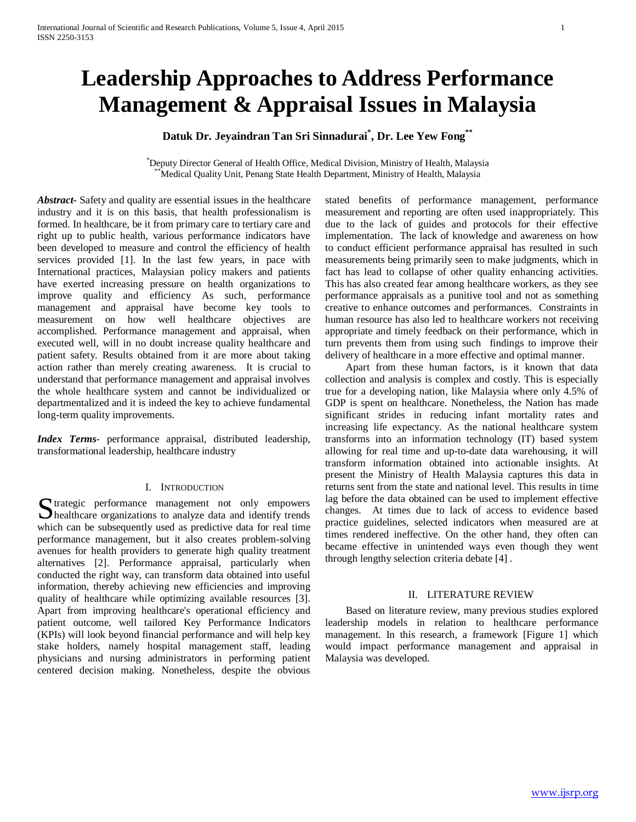# **Leadership Approaches to Address Performance Management & Appraisal Issues in Malaysia**

# **Datuk Dr. Jeyaindran Tan Sri Sinnadurai\* , Dr. Lee Yew Fong\*\***

\* Deputy Director General of Health Office, Medical Division, Ministry of Health, Malaysia Medical Quality Unit, Penang State Health Department, Ministry of Health, Malaysia

*Abstract***-** Safety and quality are essential issues in the healthcare industry and it is on this basis, that health professionalism is formed. In healthcare, be it from primary care to tertiary care and right up to public health, various performance indicators have been developed to measure and control the efficiency of health services provided [1]. In the last few years, in pace with International practices, Malaysian policy makers and patients have exerted increasing pressure on health organizations to improve quality and efficiency As such, performance management and appraisal have become key tools to measurement on how well healthcare objectives are accomplished. Performance management and appraisal, when executed well, will in no doubt increase quality healthcare and patient safety. Results obtained from it are more about taking action rather than merely creating awareness. It is crucial to understand that performance management and appraisal involves the whole healthcare system and cannot be individualized or departmentalized and it is indeed the key to achieve fundamental long-term quality improvements.

*Index Terms*- performance appraisal, distributed leadership, transformational leadership, healthcare industry

#### I. INTRODUCTION

Strategic performance management not only empowers<br>
Shealthcare organizations to analyze data and identify trends **S** healthcare organizations to analyze data and identify trends which can be subsequently used as predictive data for real time performance management, but it also creates problem-solving avenues for health providers to generate high quality treatment alternatives [2]. Performance appraisal, particularly when conducted the right way, can transform data obtained into useful information, thereby achieving new efficiencies and improving quality of healthcare while optimizing available resources [3]. Apart from improving healthcare's operational efficiency and patient outcome, well tailored Key Performance Indicators (KPIs) will look beyond financial performance and will help key stake holders, namely hospital management staff, leading physicians and nursing administrators in performing patient centered decision making. Nonetheless, despite the obvious

stated benefits of performance management, performance measurement and reporting are often used inappropriately. This due to the lack of guides and protocols for their effective implementation. The lack of knowledge and awareness on how to conduct efficient performance appraisal has resulted in such measurements being primarily seen to make judgments, which in fact has lead to collapse of other quality enhancing activities. This has also created fear among healthcare workers, as they see performance appraisals as a punitive tool and not as something creative to enhance outcomes and performances. Constraints in human resource has also led to healthcare workers not receiving appropriate and timely feedback on their performance, which in turn prevents them from using such findings to improve their delivery of healthcare in a more effective and optimal manner.

 Apart from these human factors, is it known that data collection and analysis is complex and costly. This is especially true for a developing nation, like Malaysia where only 4.5% of GDP is spent on healthcare. Nonetheless, the Nation has made significant strides in reducing infant mortality rates and increasing life expectancy. As the national healthcare system transforms into an information technology (IT) based system allowing for real time and up-to-date data warehousing, it will transform information obtained into actionable insights. At present the Ministry of Health Malaysia captures this data in returns sent from the state and national level. This results in time lag before the data obtained can be used to implement effective changes. At times due to lack of access to evidence based practice guidelines, selected indicators when measured are at times rendered ineffective. On the other hand, they often can became effective in unintended ways even though they went through lengthy selection criteria debate [4] .

#### II. LITERATURE REVIEW

 Based on literature review, many previous studies explored leadership models in relation to healthcare performance management. In this research, a framework [Figure 1] which would impact performance management and appraisal in Malaysia was developed.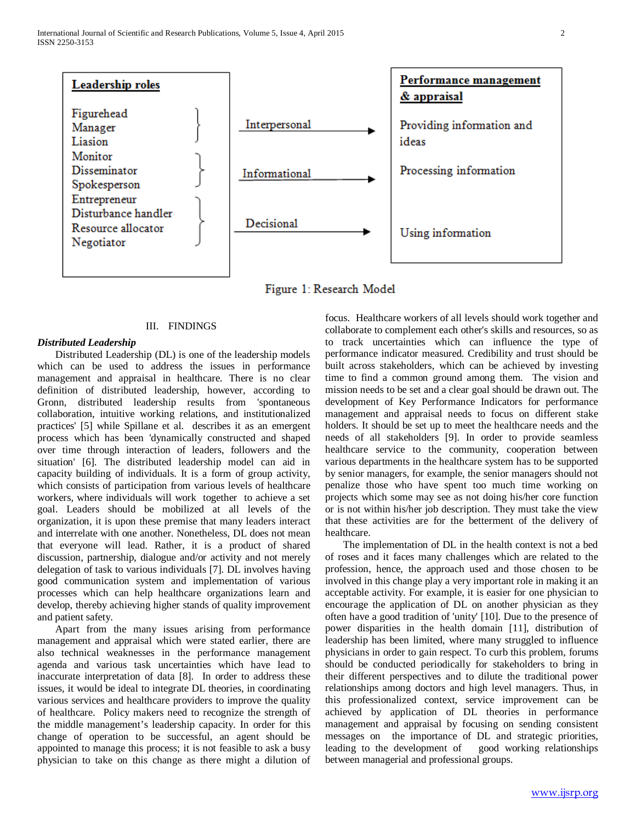

Figure 1: Research Model

### III. FINDINGS

### *Distributed Leadership*

 Distributed Leadership (DL) is one of the leadership models which can be used to address the issues in performance management and appraisal in healthcare. There is no clear definition of distributed leadership, however, according to Gronn, distributed leadership results from 'spontaneous collaboration, intuitive working relations, and institutionalized practices' [5] while Spillane et al. describes it as an emergent process which has been 'dynamically constructed and shaped over time through interaction of leaders, followers and the situation' [6]. The distributed leadership model can aid in capacity building of individuals. It is a form of group activity, which consists of participation from various levels of healthcare workers, where individuals will work together to achieve a set goal. Leaders should be mobilized at all levels of the organization, it is upon these premise that many leaders interact and interrelate with one another. Nonetheless, DL does not mean that everyone will lead. Rather, it is a product of shared discussion, partnership, dialogue and/or activity and not merely delegation of task to various individuals [7]. DL involves having good communication system and implementation of various processes which can help healthcare organizations learn and develop, thereby achieving higher stands of quality improvement and patient safety.

 Apart from the many issues arising from performance management and appraisal which were stated earlier, there are also technical weaknesses in the performance management agenda and various task uncertainties which have lead to inaccurate interpretation of data [8]. In order to address these issues, it would be ideal to integrate DL theories, in coordinating various services and healthcare providers to improve the quality of healthcare. Policy makers need to recognize the strength of the middle management's leadership capacity. In order for this change of operation to be successful, an agent should be appointed to manage this process; it is not feasible to ask a busy physician to take on this change as there might a dilution of focus. Healthcare workers of all levels should work together and collaborate to complement each other's skills and resources, so as to track uncertainties which can influence the type of performance indicator measured. Credibility and trust should be built across stakeholders, which can be achieved by investing time to find a common ground among them. The vision and mission needs to be set and a clear goal should be drawn out. The development of Key Performance Indicators for performance management and appraisal needs to focus on different stake holders. It should be set up to meet the healthcare needs and the needs of all stakeholders [9]. In order to provide seamless healthcare service to the community, cooperation between various departments in the healthcare system has to be supported by senior managers, for example, the senior managers should not penalize those who have spent too much time working on projects which some may see as not doing his/her core function or is not within his/her job description. They must take the view that these activities are for the betterment of the delivery of healthcare.

 The implementation of DL in the health context is not a bed of roses and it faces many challenges which are related to the profession, hence, the approach used and those chosen to be involved in this change play a very important role in making it an acceptable activity. For example, it is easier for one physician to encourage the application of DL on another physician as they often have a good tradition of 'unity' [10]. Due to the presence of power disparities in the health domain [11], distribution of leadership has been limited, where many struggled to influence physicians in order to gain respect. To curb this problem, forums should be conducted periodically for stakeholders to bring in their different perspectives and to dilute the traditional power relationships among doctors and high level managers. Thus, in this professionalized context, service improvement can be achieved by application of DL theories in performance management and appraisal by focusing on sending consistent messages on the importance of DL and strategic priorities, leading to the development of good working relationships between managerial and professional groups.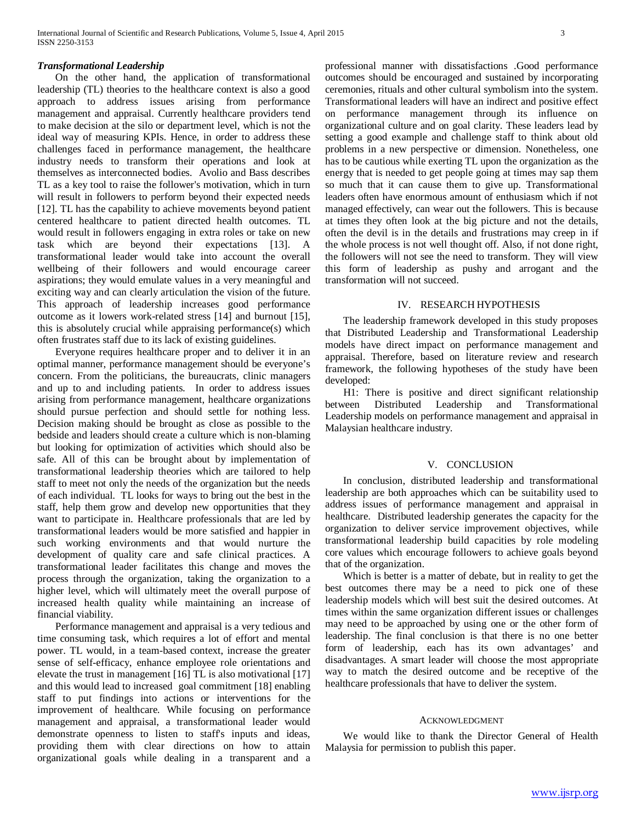#### *Transformational Leadership*

 On the other hand, the application of transformational leadership (TL) theories to the healthcare context is also a good approach to address issues arising from performance management and appraisal. Currently healthcare providers tend to make decision at the silo or department level, which is not the ideal way of measuring KPIs. Hence, in order to address these challenges faced in performance management, the healthcare industry needs to transform their operations and look at themselves as interconnected bodies. Avolio and Bass describes TL as a key tool to raise the follower's motivation, which in turn will result in followers to perform beyond their expected needs [12]. TL has the capability to achieve movements beyond patient centered healthcare to patient directed health outcomes. TL would result in followers engaging in extra roles or take on new task which are beyond their expectations [13]. A transformational leader would take into account the overall wellbeing of their followers and would encourage career aspirations; they would emulate values in a very meaningful and exciting way and can clearly articulation the vision of the future. This approach of leadership increases good performance outcome as it lowers work-related stress [14] and burnout [15], this is absolutely crucial while appraising performance(s) which often frustrates staff due to its lack of existing guidelines.

 Everyone requires healthcare proper and to deliver it in an optimal manner, performance management should be everyone's concern. From the politicians, the bureaucrats, clinic managers and up to and including patients. In order to address issues arising from performance management, healthcare organizations should pursue perfection and should settle for nothing less. Decision making should be brought as close as possible to the bedside and leaders should create a culture which is non-blaming but looking for optimization of activities which should also be safe. All of this can be brought about by implementation of transformational leadership theories which are tailored to help staff to meet not only the needs of the organization but the needs of each individual. TL looks for ways to bring out the best in the staff, help them grow and develop new opportunities that they want to participate in. Healthcare professionals that are led by transformational leaders would be more satisfied and happier in such working environments and that would nurture the development of quality care and safe clinical practices. A transformational leader facilitates this change and moves the process through the organization, taking the organization to a higher level, which will ultimately meet the overall purpose of increased health quality while maintaining an increase of financial viability.

 Performance management and appraisal is a very tedious and time consuming task, which requires a lot of effort and mental power. TL would, in a team-based context, increase the greater sense of self-efficacy, enhance employee role orientations and elevate the trust in management [16] TL is also motivational [17] and this would lead to increased goal commitment [18] enabling staff to put findings into actions or interventions for the improvement of healthcare. While focusing on performance management and appraisal, a transformational leader would demonstrate openness to listen to staff's inputs and ideas, providing them with clear directions on how to attain organizational goals while dealing in a transparent and a professional manner with dissatisfactions .Good performance outcomes should be encouraged and sustained by incorporating ceremonies, rituals and other cultural symbolism into the system. Transformational leaders will have an indirect and positive effect on performance management through its influence on organizational culture and on goal clarity. These leaders lead by setting a good example and challenge staff to think about old problems in a new perspective or dimension. Nonetheless, one has to be cautious while exerting TL upon the organization as the energy that is needed to get people going at times may sap them so much that it can cause them to give up. Transformational leaders often have enormous amount of enthusiasm which if not managed effectively, can wear out the followers. This is because at times they often look at the big picture and not the details, often the devil is in the details and frustrations may creep in if the whole process is not well thought off. Also, if not done right, the followers will not see the need to transform. They will view this form of leadership as pushy and arrogant and the transformation will not succeed.

## IV. RESEARCH HYPOTHESIS

 The leadership framework developed in this study proposes that Distributed Leadership and Transformational Leadership models have direct impact on performance management and appraisal. Therefore, based on literature review and research framework, the following hypotheses of the study have been developed:

 H1: There is positive and direct significant relationship between Distributed Leadership and Transformational Leadership models on performance management and appraisal in Malaysian healthcare industry.

#### V. CONCLUSION

 In conclusion, distributed leadership and transformational leadership are both approaches which can be suitability used to address issues of performance management and appraisal in healthcare. Distributed leadership generates the capacity for the organization to deliver service improvement objectives, while transformational leadership build capacities by role modeling core values which encourage followers to achieve goals beyond that of the organization.

 Which is better is a matter of debate, but in reality to get the best outcomes there may be a need to pick one of these leadership models which will best suit the desired outcomes. At times within the same organization different issues or challenges may need to be approached by using one or the other form of leadership. The final conclusion is that there is no one better form of leadership, each has its own advantages' and disadvantages. A smart leader will choose the most appropriate way to match the desired outcome and be receptive of the healthcare professionals that have to deliver the system.

#### ACKNOWLEDGMENT

 We would like to thank the Director General of Health Malaysia for permission to publish this paper.